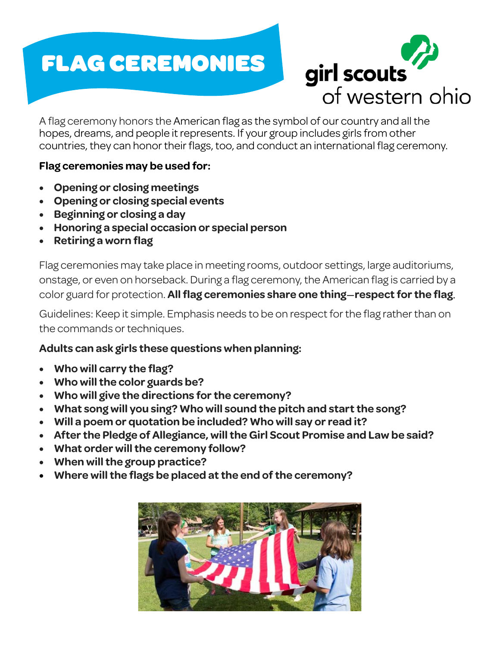# FLAG CEREMONIES



A flag ceremony honors the American flag as the symbol of our country and all the hopes, dreams, and people it represents. If your group includes girls from other countries, they can honor their flags, too, and conduct an international flag ceremony.

#### **Flag ceremonies may be used for:**

- **Opening or closing meetings**
- **Opening or closing special events**
- **Beginning or closing a day**
- **Honoring a special occasion or special person**
- **Retiring a worn flag**

Flag ceremonies may take place in meeting rooms, outdoor settings, large auditoriums, onstage, or even on horseback. During a flag ceremony, the American flag is carried by a color guard for protection. **All flag ceremonies share one thing**—**respect for the flag**.

Guidelines: Keep it simple. Emphasis needs to be on respect for the flag rather than on the commands or techniques.

### **Adults can ask girls these questions when planning:**

- **Who will carry the flag?**
- **Who will the color guards be?**
- **Who will give the directions for the ceremony?**
- **What song will you sing? Who will sound the pitch and start the song?**
- **Will a poem or quotation be included? Who will say or read it?**
- **After the Pledge of Allegiance, will the Girl Scout Promise and Law be said?**
- **What order will the ceremony follow?**
- **When will the group practice?**
- **Where will the flags be placed at the end of the ceremony?**

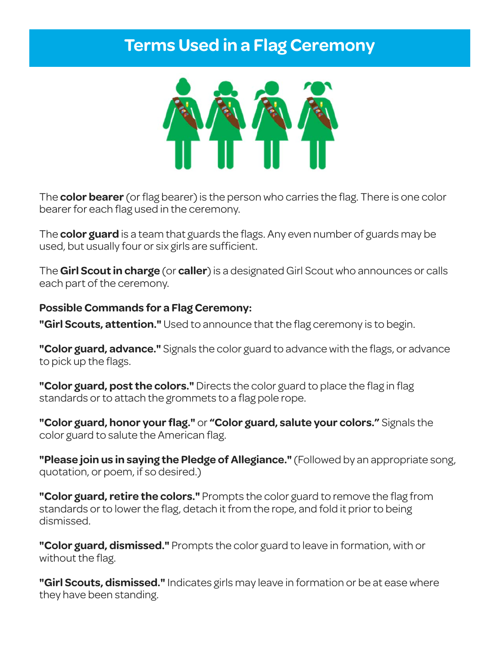### **Terms Used in a Flag Ceremony**



The **color bearer** (or flag bearer) is the person who carries the flag. There is one color bearer for each flag used in the ceremony.

The **color guard** is a team that guards the flags. Any even number of guards may be used, but usually four or six girls are sufficient.

The **Girl Scout in charge** (or **caller**) is a designated Girl Scout who announces or calls each part of the ceremony.

#### **Possible Commands for a Flag Ceremony:**

**"Girl Scouts, attention."** Used to announce that the flag ceremony is to begin.

**"Color guard, advance."** Signals the color guard to advance with the flags, or advance to pick up the flags.

**"Color guard, post the colors."** Directs the color guard to place the flag in flag standards or to attach the grommets to a flag pole rope.

**"Color guard, honor your flag."** or **"Color guard, salute your colors."** Signals the color guard to salute the American flag.

**"Please join us in saying the Pledge of Allegiance."** (Followed by an appropriate song, quotation, or poem, if so desired.)

**"Color guard, retire the colors."** Prompts the color guard to remove the flag from standards or to lower the flag, detach it from the rope, and fold it prior to being dismissed.

**"Color guard, dismissed."** Prompts the color guard to leave in formation, with or without the flag.

**"Girl Scouts, dismissed."** Indicates girls may leave in formation or be at ease where they have been standing.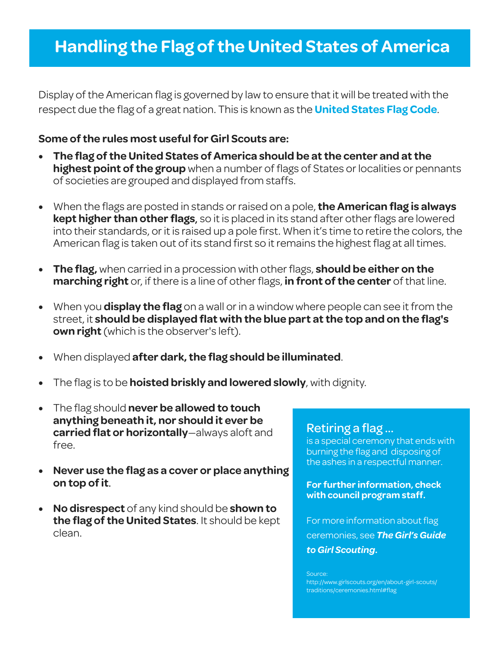## **Handling the Flag of the United States of America**

Display of the American flag is governed by law to ensure that it will be treated with the respect due the flag of a great nation. This is known as the **United States Flag Code**.

#### **Some of the rules most useful for Girl Scouts are:**

- **The flag of the United States of America should be at the center and at the highest point of the group** when a number of flags of States or localities or pennants of societies are grouped and displayed from staffs.
- When the flags are posted in stands or raised on a pole, **the American flag is always kept higher than other flags**, so it is placed in its stand after other flags are lowered into their standards, or it is raised up a pole first. When it's time to retire the colors, the American flag is taken out of its stand first so it remains the highest flag at all times.
- **The flag,** when carried in a procession with other flags, **should be either on the marching right** or, if there is a line of other flags, **in front of the center** of that line.
- When you **display the flag** on a wall or in a window where people can see it from the street, it **should be displayed flat with the blue part at the top and on the flag's own right** (which is the observer's left).
- When displayed **after dark, the flag should be illuminated**.
- The flag is to be **hoisted briskly and lowered slowly**, with dignity.
- The flag should **never be allowed to touch anything beneath it, nor should it ever be carried flat or horizontally**—always aloft and free.
- **Never use the flag as a cover or place anything on top of it**.
- **No disrespect** of any kind should be **shown to the flag of the United States**. It should be kept clean.

is a special ceremony that ends with burning the flag and disposing of the ashes in a respectful manner.

**For further information, check with council program staff.** 

For more information about flag ceremonies, see *The Girl's Guide to Girl Scouting***.**

Source: http://www.girlscouts.org/en/about-girl-scouts/ traditions/ceremonies.html#flag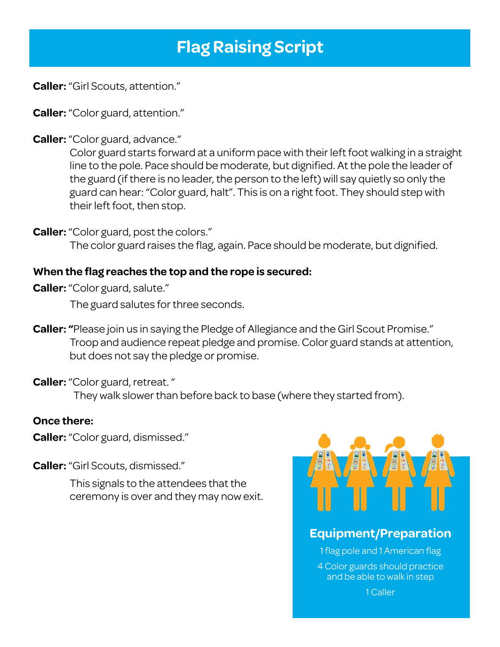# **Flag Raising Script**

**Caller:** "Girl Scouts, attention."

**Caller:** "Color guard, attention."

**Caller:** "Color guard, advance."

Color guard starts forward at a uniform pace with their left foot walking in a straight line to the pole. Pace should be moderate, but dignified. At the pole the leader of the guard (if there is no leader, the person to the left) will say quietly so only the guard can hear: "Color guard, halt". This is on a right foot. They should step with their left foot, then stop.

**Caller:** "Color guard, post the colors."

The color guard raises the flag, again. Pace should be moderate, but dignified.

#### **When the flag reaches the top and the rope is secured:**

**Caller:** "Color guard, salute."

The guard salutes for three seconds.

**Caller: "**Please join us in saying the Pledge of Allegiance and the Girl Scout Promise." Troop and audience repeat pledge and promise. Color guard stands at attention, but does not say the pledge or promise.

**Caller:** "Color guard, retreat. " They walk slower than before back to base (where they started from).

#### **Once there:**

**Caller:** "Color guard, dismissed."

**Caller:** "Girl Scouts, dismissed."

This signals to the attendees that the ceremony is over and they may now exit.



### **Equipment/Preparation**

1 flag pole and 1 American flag 4 Color guards should practice and be able to walk in step

1 Caller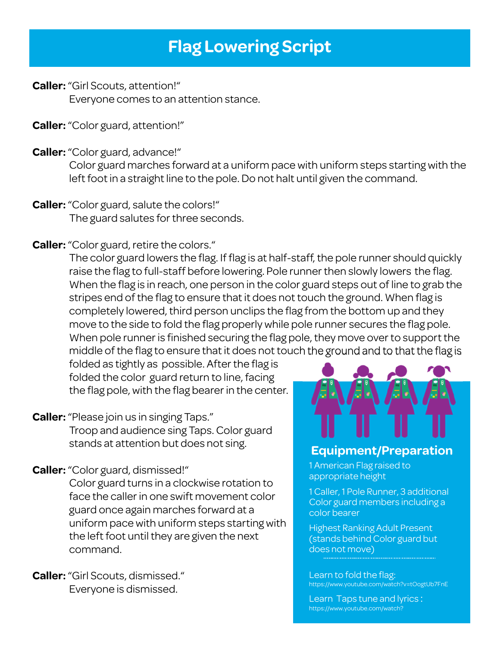# **Flag Lowering Script**

**Caller:** "Girl Scouts, attention!" Everyone comes to an attention stance.

**Caller:** "Color guard, attention!"

**Caller:** "Color guard, advance!"

Color guard marches forward at a uniform pace with uniform steps starting with the left foot in a straight line to the pole. Do not halt until given the command.

- **Caller:** "Color guard, salute the colors!" The guard salutes for three seconds.
- **Caller:** "Color guard, retire the colors."

The color guard lowers the flag. If flag is at half-staff, the pole runner should quickly raise the flag to full-staff before lowering. Pole runner then slowly lowers the flag. When the flag is in reach, one person in the color guard steps out of line to grab the stripes end of the flag to ensure that it does not touch the ground. When flag is completely lowered, third person unclips the flag from the bottom up and they move to the side to fold the flag properly while pole runner secures the flag pole. When pole runner is finished securing the flag pole, they move over to support the middle of the flag to ensure that it does not touch the ground and to that the flag is

folded as tightly as possible. After the flag is folded the color guard return to line, facing the flag pole, with the flag bearer in the center.

- **Caller:** "Please join us in singing Taps." Troop and audience sing Taps. Color guard stands at attention but does not sing.
- **Caller:** "Color guard, dismissed!"

Color guard turns in a clockwise rotation to face the caller in one swift movement color guard once again marches forward at a uniform pace with uniform steps starting with the left foot until they are given the next command.

**Caller:** "Girl Scouts, dismissed." Everyone is dismissed.



### **Equipment/Preparation**

1 American Flag raised to appropriate height

1 Caller, 1 Pole Runner, 3 additional Color guard members including a color bearer

Highest Ranking Adult Present (stands behind Color guard but does not move)

Learn to fold the flag: https://www.youtube.com/watch?v=tOogtUb7FnE

Learn Taps tune and lyrics : https://www.youtube.com/watch?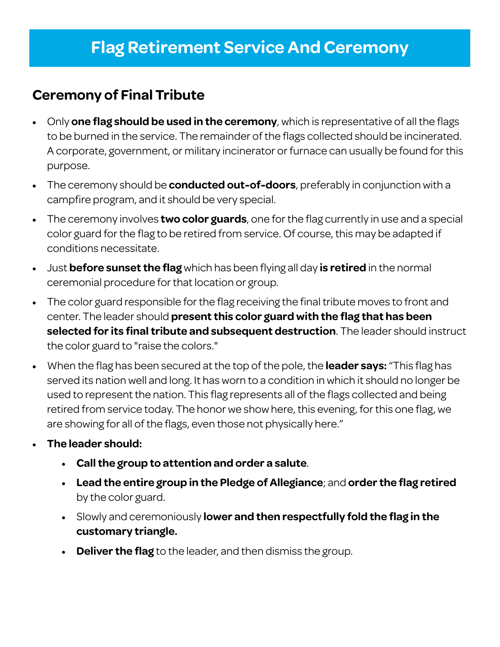### **Flag Retirement Service And Ceremony**

Ξ

### **Ceremony of Final Tribute**

- Only **one flag should be used in the ceremony**, which is representative of all the flags to be burned in the service. The remainder of the flags collected should be incinerated. A corporate, government, or military incinerator or furnace can usually be found for this purpose.
- The ceremony should be **conducted out-of-doors**, preferably in conjunction with a campfire program, and it should be very special.
- The ceremony involves **two color guards**, one for the flag currently in use and a special color guard for the flag to be retired from service. Of course, this may be adapted if conditions necessitate.
- Just **before sunset the flag** which has been flying all day **is retired** in the normal ceremonial procedure for that location or group.
- The color guard responsible for the flag receiving the final tribute moves to front and center. The leader should **present this color guard with the flag that has been selected for its final tribute and subsequent destruction**. The leader should instruct the color guard to "raise the colors."
- When the flag has been secured at the top of the pole, the **leader says:** "This flag has served its nation well and long. It has worn to a condition in which it should no longer be used to represent the nation. This flag represents all of the flags collected and being retired from service today. The honor we show here, this evening, for this one flag, we are showing for all of the flags, even those not physically here."
- **The leader should:** 
	- **Call the group to attention and order a salute**.
	- **Lead the entire group in the Pledge of Allegiance**; and **order the flag retired**  by the color guard.
	- Slowly and ceremoniously **lower and then respectfully fold the flag in the customary triangle.**
	- **Deliver the flag** to the leader, and then dismiss the group.